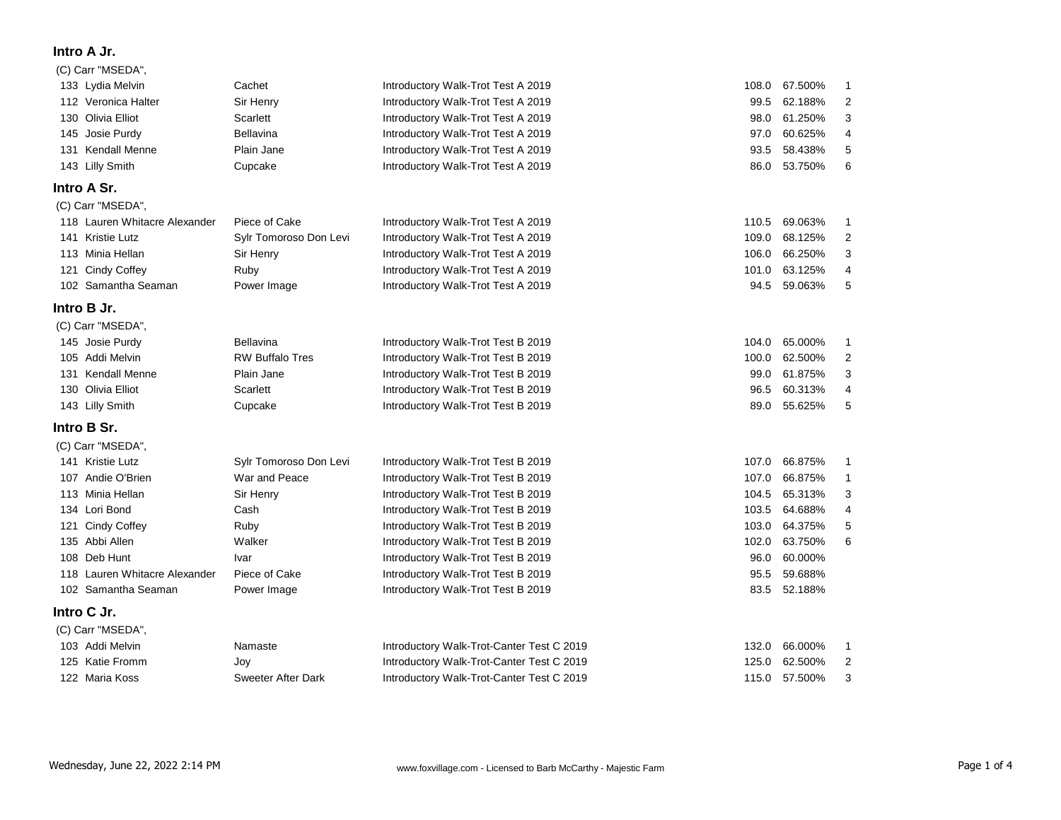## **Intro A Jr.**

## (C) Carr "MSEDA",

| 133 Lydia Melvin              | Cachet                 | Introductory Walk-Trot Test A 2019        | 108.0 | 67.500%      | 1                       |
|-------------------------------|------------------------|-------------------------------------------|-------|--------------|-------------------------|
| 112 Veronica Halter           | Sir Henry              | Introductory Walk-Trot Test A 2019        | 99.5  | 62.188%      | 2                       |
| 130 Olivia Elliot             | <b>Scarlett</b>        | Introductory Walk-Trot Test A 2019        | 98.0  | 61.250%      | 3                       |
| 145 Josie Purdy               | <b>Bellavina</b>       | Introductory Walk-Trot Test A 2019        | 97.0  | 60.625%      | 4                       |
| 131 Kendall Menne             | Plain Jane             | Introductory Walk-Trot Test A 2019        | 93.5  | 58.438%      | 5                       |
| 143 Lilly Smith               | Cupcake                | Introductory Walk-Trot Test A 2019        | 86.0  | 53.750%      | 6                       |
| Intro A Sr.                   |                        |                                           |       |              |                         |
| (C) Carr "MSEDA",             |                        |                                           |       |              |                         |
| 118 Lauren Whitacre Alexander | Piece of Cake          | Introductory Walk-Trot Test A 2019        | 110.5 | 69.063%      | 1                       |
| 141 Kristie Lutz              | Sylr Tomoroso Don Levi | Introductory Walk-Trot Test A 2019        | 109.0 | 68.125%      | $\overline{\mathbf{c}}$ |
| 113 Minia Hellan              | Sir Henry              | Introductory Walk-Trot Test A 2019        | 106.0 | 66.250%      | 3                       |
| 121 Cindy Coffey              | Ruby                   | Introductory Walk-Trot Test A 2019        | 101.0 | 63.125%      | 4                       |
| 102 Samantha Seaman           | Power Image            | Introductory Walk-Trot Test A 2019        | 94.5  | 59.063%      | 5                       |
| Intro B Jr.                   |                        |                                           |       |              |                         |
| (C) Carr "MSEDA",             |                        |                                           |       |              |                         |
| 145 Josie Purdy               | Bellavina              | Introductory Walk-Trot Test B 2019        | 104.0 | 65.000%      | 1                       |
| 105 Addi Melvin               | <b>RW Buffalo Tres</b> | Introductory Walk-Trot Test B 2019        | 100.0 | 62.500%      | 2                       |
| 131 Kendall Menne             | Plain Jane             | Introductory Walk-Trot Test B 2019        | 99.0  | 61.875%      | 3                       |
| 130 Olivia Elliot             | Scarlett               | Introductory Walk-Trot Test B 2019        | 96.5  | 60.313%      | 4                       |
| 143 Lilly Smith               | Cupcake                | Introductory Walk-Trot Test B 2019        | 89.0  | 55.625%      | 5                       |
| Intro B Sr.                   |                        |                                           |       |              |                         |
| (C) Carr "MSEDA",             |                        |                                           |       |              |                         |
| 141 Kristie Lutz              | Sylr Tomoroso Don Levi | Introductory Walk-Trot Test B 2019        | 107.0 | 66.875%      | 1                       |
| 107 Andie O'Brien             | War and Peace          | Introductory Walk-Trot Test B 2019        | 107.0 | 66.875%      | 1                       |
| 113 Minia Hellan              | Sir Henry              | Introductory Walk-Trot Test B 2019        | 104.5 | 65.313%      | 3                       |
| 134 Lori Bond                 | Cash                   | Introductory Walk-Trot Test B 2019        | 103.5 | 64.688%      | 4                       |
| 121 Cindy Coffey              | Ruby                   | Introductory Walk-Trot Test B 2019        | 103.0 | 64.375%      | 5                       |
| 135 Abbi Allen                | Walker                 | Introductory Walk-Trot Test B 2019        | 102.0 | 63.750%      | 6                       |
| 108 Deb Hunt                  | Ivar                   | Introductory Walk-Trot Test B 2019        | 96.0  | 60.000%      |                         |
| 118 Lauren Whitacre Alexander | Piece of Cake          | Introductory Walk-Trot Test B 2019        | 95.5  | 59.688%      |                         |
| 102 Samantha Seaman           | Power Image            | Introductory Walk-Trot Test B 2019        |       | 83.5 52.188% |                         |
| Intro C Jr.                   |                        |                                           |       |              |                         |
| (C) Carr "MSEDA",             |                        |                                           |       |              |                         |
| 103 Addi Melvin               | Namaste                | Introductory Walk-Trot-Canter Test C 2019 | 132.0 | 66.000%      | 1                       |
| 125 Katie Fromm               | Joy                    | Introductory Walk-Trot-Canter Test C 2019 | 125.0 | 62.500%      | 2                       |
| 122 Maria Koss                | Sweeter After Dark     | Introductory Walk-Trot-Canter Test C 2019 | 115.0 | 57.500%      | 3                       |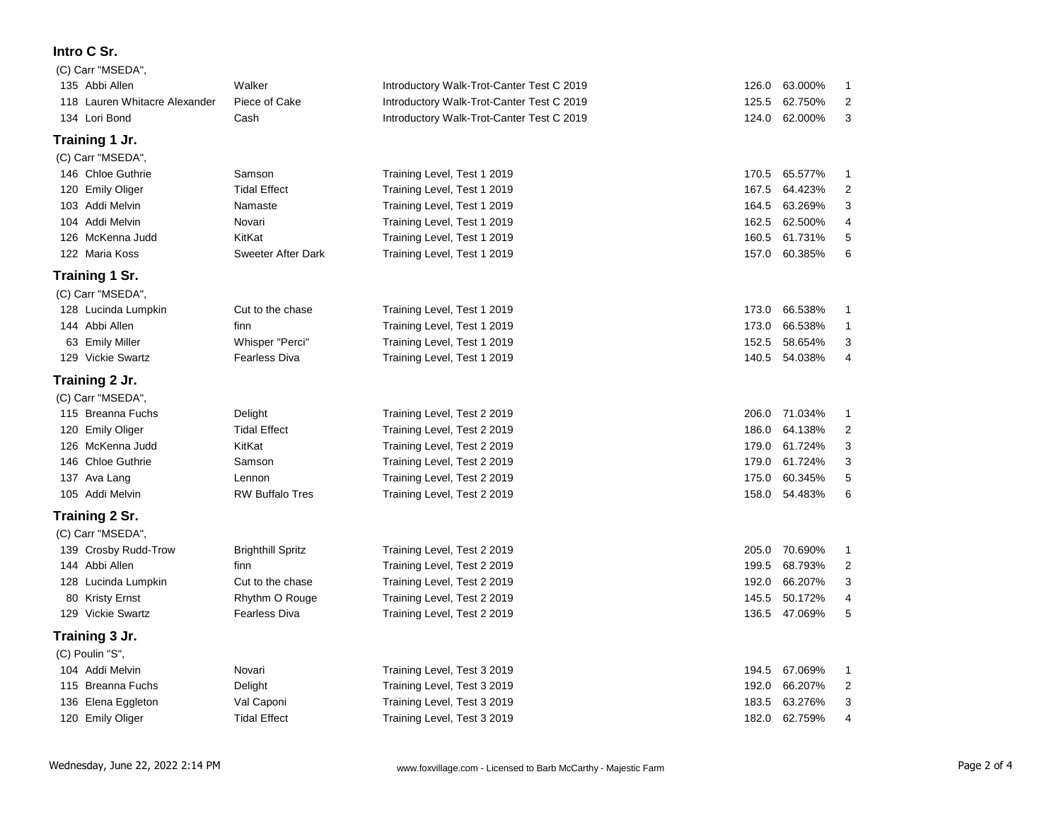## **Intro C Sr.**

| (C) Carr "MSEDA",             |                           |                                           |       |         |                |
|-------------------------------|---------------------------|-------------------------------------------|-------|---------|----------------|
| 135 Abbi Allen                | Walker                    | Introductory Walk-Trot-Canter Test C 2019 | 126.0 | 63.000% | 1              |
| 118 Lauren Whitacre Alexander | Piece of Cake             | Introductory Walk-Trot-Canter Test C 2019 | 125.5 | 62.750% | 2              |
| 134 Lori Bond                 | Cash                      | Introductory Walk-Trot-Canter Test C 2019 | 124.0 | 62.000% | 3              |
| Training 1 Jr.                |                           |                                           |       |         |                |
| (C) Carr "MSEDA",             |                           |                                           |       |         |                |
| 146 Chloe Guthrie             | Samson                    | Training Level, Test 1 2019               | 170.5 | 65.577% | 1              |
| 120 Emily Oliger              | <b>Tidal Effect</b>       | Training Level, Test 1 2019               | 167.5 | 64.423% | 2              |
| 103 Addi Melvin               | Namaste                   | Training Level, Test 1 2019               | 164.5 | 63.269% | 3              |
| 104 Addi Melvin               | Novari                    | Training Level, Test 1 2019               | 162.5 | 62.500% | 4              |
| 126 McKenna Judd              | KitKat                    | Training Level, Test 1 2019               | 160.5 | 61.731% | 5              |
| 122 Maria Koss                | <b>Sweeter After Dark</b> | Training Level, Test 1 2019               | 157.0 | 60.385% | 6              |
| Training 1 Sr.                |                           |                                           |       |         |                |
| (C) Carr "MSEDA",             |                           |                                           |       |         |                |
| 128 Lucinda Lumpkin           | Cut to the chase          | Training Level, Test 1 2019               | 173.0 | 66.538% | 1              |
| 144 Abbi Allen                | finn                      | Training Level, Test 1 2019               | 173.0 | 66.538% | $\mathbf{1}$   |
| 63 Emily Miller               | Whisper "Perci"           | Training Level, Test 1 2019               | 152.5 | 58.654% | 3              |
| 129 Vickie Swartz             | Fearless Diva             | Training Level, Test 1 2019               | 140.5 | 54.038% | 4              |
| Training 2 Jr.                |                           |                                           |       |         |                |
| (C) Carr "MSEDA",             |                           |                                           |       |         |                |
| 115 Breanna Fuchs             | Delight                   | Training Level, Test 2 2019               | 206.0 | 71.034% | 1              |
| 120 Emily Oliger              | <b>Tidal Effect</b>       | Training Level, Test 2 2019               | 186.0 | 64.138% | 2              |
| 126 McKenna Judd              | KitKat                    | Training Level, Test 2 2019               | 179.0 | 61.724% | 3              |
| 146 Chloe Guthrie             | Samson                    | Training Level, Test 2 2019               | 179.0 | 61.724% | 3              |
| 137 Ava Lang                  | Lennon                    | Training Level, Test 2 2019               | 175.0 | 60.345% | 5              |
| 105 Addi Melvin               | <b>RW Buffalo Tres</b>    | Training Level, Test 2 2019               | 158.0 | 54.483% | 6              |
| Training 2 Sr.                |                           |                                           |       |         |                |
| (C) Carr "MSEDA",             |                           |                                           |       |         |                |
| 139 Crosby Rudd-Trow          | <b>Brighthill Spritz</b>  | Training Level, Test 2 2019               | 205.0 | 70.690% | $\mathbf{1}$   |
| 144 Abbi Allen                | finn                      | Training Level, Test 2 2019               | 199.5 | 68.793% | $\overline{2}$ |
| 128 Lucinda Lumpkin           | Cut to the chase          | Training Level, Test 2 2019               | 192.0 | 66.207% | 3              |
| 80 Kristy Ernst               | Rhythm O Rouge            | Training Level, Test 2 2019               | 145.5 | 50.172% | 4              |
| 129 Vickie Swartz             | Fearless Diva             | Training Level, Test 2 2019               | 136.5 | 47.069% | 5              |
| Training 3 Jr.                |                           |                                           |       |         |                |
| (C) Poulin "S".               |                           |                                           |       |         |                |
| 104 Addi Melvin               | Novari                    | Training Level, Test 3 2019               | 194.5 | 67.069% | -1             |
| 115 Breanna Fuchs             | Delight                   | Training Level, Test 3 2019               | 192.0 | 66.207% | 2              |
| 136 Elena Eggleton            | Val Caponi                | Training Level, Test 3 2019               | 183.5 | 63.276% | 3              |
| 120 Emily Oliger              | <b>Tidal Effect</b>       | Training Level, Test 3 2019               | 182.0 | 62.759% | 4              |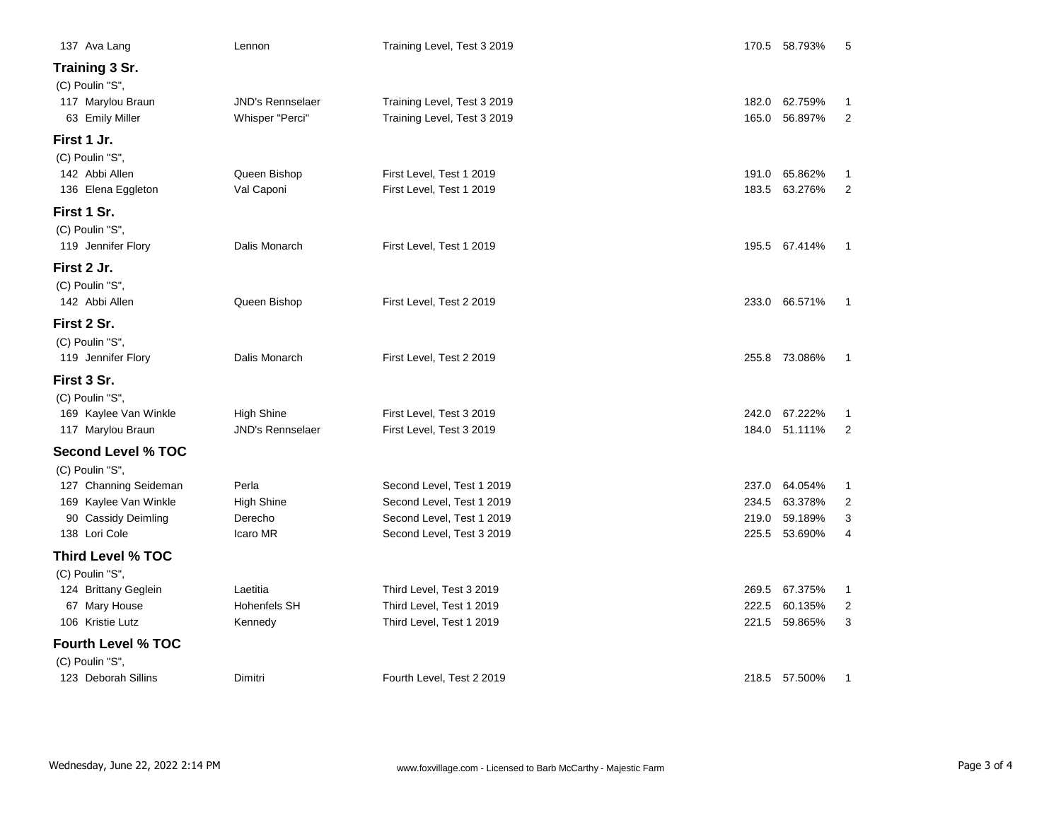| 137 Ava Lang                               | Lennon                                       | Training Level, Test 3 2019                                |       | 170.5 58.793%                  | 5                   |
|--------------------------------------------|----------------------------------------------|------------------------------------------------------------|-------|--------------------------------|---------------------|
| Training 3 Sr.<br>(C) Poulin "S",          |                                              |                                                            |       |                                |                     |
| 117 Marylou Braun<br>63 Emily Miller       | <b>JND's Rennselaer</b><br>Whisper "Perci"   | Training Level, Test 3 2019<br>Training Level, Test 3 2019 | 165.0 | 182.0 62.759%<br>56.897%       | 1<br>2              |
| First 1 Jr.                                |                                              |                                                            |       |                                |                     |
| (C) Poulin "S",                            |                                              |                                                            |       |                                |                     |
| 142 Abbi Allen                             | Queen Bishop                                 | First Level, Test 1 2019                                   | 191.0 | 65.862%                        | 1                   |
| 136 Elena Eggleton                         | Val Caponi                                   | First Level, Test 1 2019                                   | 183.5 | 63.276%                        | $\overline{2}$      |
| First 1 Sr.                                |                                              |                                                            |       |                                |                     |
| (C) Poulin "S",                            |                                              |                                                            |       |                                |                     |
| 119 Jennifer Flory                         | Dalis Monarch                                | First Level, Test 1 2019                                   |       | 195.5 67.414%                  | $\mathbf{1}$        |
| First 2 Jr.                                |                                              |                                                            |       |                                |                     |
| (C) Poulin "S",                            |                                              |                                                            |       |                                |                     |
| 142 Abbi Allen                             | Queen Bishop                                 | First Level, Test 2 2019                                   |       | 233.0 66.571%                  | -1                  |
| First 2 Sr.                                |                                              |                                                            |       |                                |                     |
| (C) Poulin "S",                            |                                              |                                                            |       |                                |                     |
| 119 Jennifer Flory                         | Dalis Monarch                                | First Level, Test 2 2019                                   |       | 255.8 73.086%                  | 1                   |
| First 3 Sr.                                |                                              |                                                            |       |                                |                     |
| (C) Poulin "S",                            |                                              |                                                            |       |                                |                     |
| 169 Kaylee Van Winkle<br>117 Marylou Braun | <b>High Shine</b><br><b>JND's Rennselaer</b> | First Level, Test 3 2019<br>First Level, Test 3 2019       |       | 242.0 67.222%<br>184.0 51.111% | 1<br>$\overline{2}$ |
|                                            |                                              |                                                            |       |                                |                     |
| <b>Second Level % TOC</b>                  |                                              |                                                            |       |                                |                     |
| (C) Poulin "S",<br>127 Channing Seideman   | Perla                                        | Second Level, Test 1 2019                                  | 237.0 | 64.054%                        | $\mathbf{1}$        |
| 169 Kaylee Van Winkle                      | <b>High Shine</b>                            | Second Level, Test 1 2019                                  | 234.5 | 63.378%                        | 2                   |
| 90 Cassidy Deimling                        | Derecho                                      | Second Level, Test 1 2019                                  | 219.0 | 59.189%                        | 3                   |
| 138 Lori Cole                              | Icaro MR                                     | Second Level, Test 3 2019                                  |       | 225.5 53.690%                  | 4                   |
| <b>Third Level % TOC</b>                   |                                              |                                                            |       |                                |                     |
| (C) Poulin "S",                            |                                              |                                                            |       |                                |                     |
| 124 Brittany Geglein                       | Laetitia                                     | Third Level, Test 3 2019                                   | 269.5 | 67.375%                        | $\mathbf{1}$        |
| 67 Mary House                              | <b>Hohenfels SH</b>                          | Third Level, Test 1 2019                                   | 222.5 | 60.135%                        | 2                   |
| 106 Kristie Lutz                           | Kennedy                                      | Third Level, Test 1 2019                                   | 221.5 | 59.865%                        | 3                   |
| <b>Fourth Level % TOC</b>                  |                                              |                                                            |       |                                |                     |
| (C) Poulin "S",                            |                                              |                                                            |       |                                |                     |
| 123 Deborah Sillins                        | Dimitri                                      | Fourth Level, Test 2 2019                                  |       | 218.5 57.500%                  | 1                   |